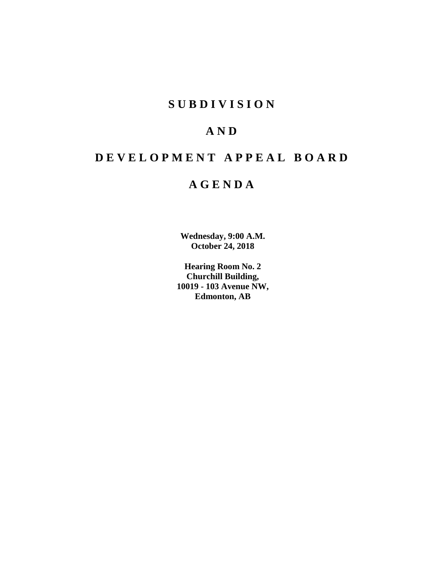## **SUBDIVISION**

## **AND**

# **DEVELOPMENT APPEAL BOARD**

## **AGENDA**

**Wednesday, 9:00 A.M. October 24, 2018**

**Hearing Room No. 2 Churchill Building, 10019 - 103 Avenue NW, Edmonton, AB**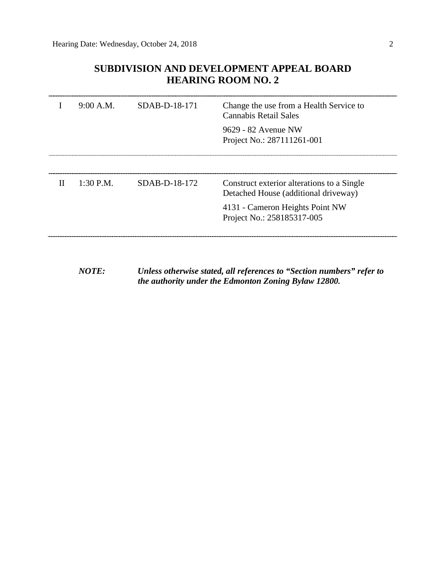## **SUBDIVISION AND DEVELOPMENT APPEAL BOARD HEARING ROOM NO. 2**

|   |             | $9:00$ A.M. SDAB-D-18-171 | Change the use from a Health Service to<br>Cannabis Retail Sales<br>9629 - 82 Avenue NW<br>Project No.: 287111261-001 |
|---|-------------|---------------------------|-----------------------------------------------------------------------------------------------------------------------|
|   |             |                           |                                                                                                                       |
| H | $1:30$ P.M. | SDAB-D-18-172             | Construct exterior alterations to a Single<br>Detached House (additional driveway)                                    |
|   |             |                           | 4131 - Cameron Heights Point NW<br>Project No.: 258185317-005                                                         |
|   |             |                           |                                                                                                                       |

*NOTE: Unless otherwise stated, all references to "Section numbers" refer to the authority under the Edmonton Zoning Bylaw 12800.*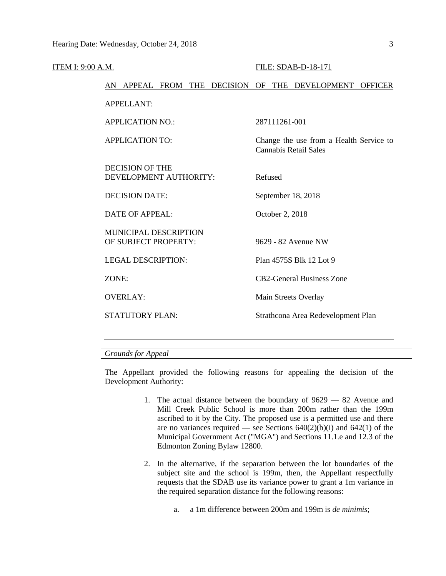| ITEM I: 9:00 A.M. |       |                                                      |  |         |                 | FILE: SDAB-D-18-171                                              |  |
|-------------------|-------|------------------------------------------------------|--|---------|-----------------|------------------------------------------------------------------|--|
|                   |       |                                                      |  |         |                 | AN APPEAL FROM THE DECISION OF THE DEVELOPMENT OFFICER           |  |
|                   |       | <b>APPELLANT:</b>                                    |  |         |                 |                                                                  |  |
|                   |       | <b>APPLICATION NO.:</b>                              |  |         | 287111261-001   |                                                                  |  |
|                   |       | <b>APPLICATION TO:</b>                               |  |         |                 | Change the use from a Health Service to<br>Cannabis Retail Sales |  |
|                   |       | <b>DECISION OF THE</b><br>DEVELOPMENT AUTHORITY:     |  | Refused |                 |                                                                  |  |
|                   |       | <b>DECISION DATE:</b>                                |  |         |                 | September 18, 2018                                               |  |
|                   |       | <b>DATE OF APPEAL:</b>                               |  |         | October 2, 2018 |                                                                  |  |
|                   |       | <b>MUNICIPAL DESCRIPTION</b><br>OF SUBJECT PROPERTY: |  |         |                 | 9629 - 82 Avenue NW                                              |  |
|                   |       | <b>LEGAL DESCRIPTION:</b>                            |  |         |                 | Plan 4575S Blk 12 Lot 9                                          |  |
|                   | ZONE: |                                                      |  |         |                 | <b>CB2-General Business Zone</b>                                 |  |
|                   |       | <b>OVERLAY:</b>                                      |  |         |                 | Main Streets Overlay                                             |  |
|                   |       | STATUTORY PLAN:                                      |  |         |                 | Strathcona Area Redevelopment Plan                               |  |
|                   |       |                                                      |  |         |                 |                                                                  |  |

## *Grounds for Appeal*

The Appellant provided the following reasons for appealing the decision of the Development Authority:

- 1. The actual distance between the boundary of 9629 82 Avenue and Mill Creek Public School is more than 200m rather than the 199m ascribed to it by the City. The proposed use is a permitted use and there are no variances required — see Sections  $640(2)(b)(i)$  and  $642(1)$  of the Municipal Government Act ("MGA") and Sections 11.1.e and 12.3 of the Edmonton Zoning Bylaw 12800.
- 2. In the alternative, if the separation between the lot boundaries of the subject site and the school is 199m, then, the Appellant respectfully requests that the SDAB use its variance power to grant a 1m variance in the required separation distance for the following reasons:
	- a. a 1m difference between 200m and 199m is *de minimis*;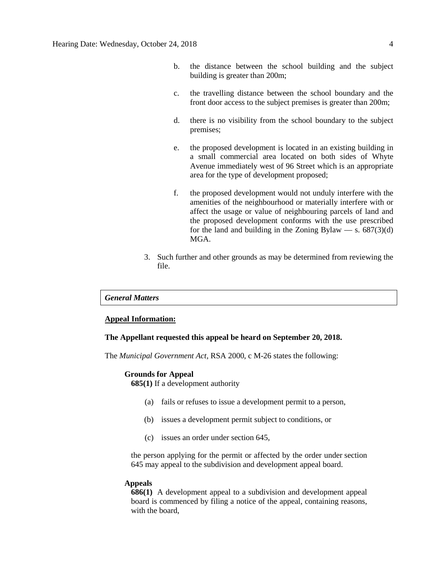- b. the distance between the school building and the subject building is greater than 200m;
- c. the travelling distance between the school boundary and the front door access to the subject premises is greater than 200m;
- d. there is no visibility from the school boundary to the subject premises;
- e. the proposed development is located in an existing building in a small commercial area located on both sides of Whyte Avenue immediately west of 96 Street which is an appropriate area for the type of development proposed;
- f. the proposed development would not unduly interfere with the amenities of the neighbourhood or materially interfere with or affect the usage or value of neighbouring parcels of land and the proposed development conforms with the use prescribed for the land and building in the Zoning Bylaw — s.  $687(3)(d)$ MGA.
- 3. Such further and other grounds as may be determined from reviewing the file.

### *General Matters*

## **Appeal Information:**

#### **The Appellant requested this appeal be heard on September 20, 2018.**

The *Municipal Government Act*, RSA 2000, c M-26 states the following:

#### **Grounds for Appeal**

**685(1)** If a development authority

- (a) fails or refuses to issue a development permit to a person,
- (b) issues a development permit subject to conditions, or
- (c) issues an order under section 645,

the person applying for the permit or affected by the order under section 645 may appeal to the subdivision and development appeal board.

## **Appeals**

**686(1)** A development appeal to a subdivision and development appeal board is commenced by filing a notice of the appeal, containing reasons, with the board,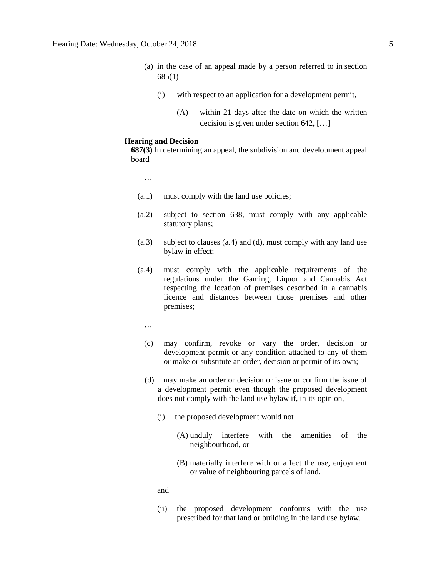- (a) in the case of an appeal made by a person referred to in section 685(1)
	- (i) with respect to an application for a development permit,
		- (A) within 21 days after the date on which the written decision is given under section 642, […]

#### **Hearing and Decision**

**687(3)** In determining an appeal, the subdivision and development appeal board

…

- (a.1) must comply with the land use policies;
- (a.2) subject to section 638, must comply with any applicable statutory plans;
- (a.3) subject to clauses (a.4) and (d), must comply with any land use bylaw in effect;
- (a.4) must comply with the applicable requirements of the regulations under the Gaming, Liquor and Cannabis Act respecting the location of premises described in a cannabis licence and distances between those premises and other premises;
	- …
	- (c) may confirm, revoke or vary the order, decision or development permit or any condition attached to any of them or make or substitute an order, decision or permit of its own;
	- (d) may make an order or decision or issue or confirm the issue of a development permit even though the proposed development does not comply with the land use bylaw if, in its opinion,
		- (i) the proposed development would not
			- (A) unduly interfere with the amenities of the neighbourhood, or
			- (B) materially interfere with or affect the use, enjoyment or value of neighbouring parcels of land,

#### and

(ii) the proposed development conforms with the use prescribed for that land or building in the land use bylaw.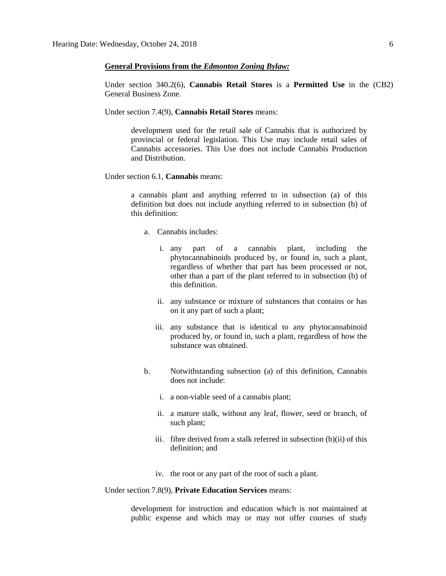## **General Provisions from the** *Edmonton Zoning Bylaw:*

Under section 340.2(6), **Cannabis Retail Stores** is a **Permitted Use** in the (CB2) General Business Zone.

Under section 7.4(9), **Cannabis Retail Stores** means:

development used for the retail sale of Cannabis that is authorized by provincial or federal legislation. This Use may include retail sales of Cannabis accessories. This Use does not include Cannabis Production and Distribution.

Under section 6.1, **Cannabis** means:

a cannabis plant and anything referred to in subsection (a) of this definition but does not include anything referred to in subsection (b) of this definition:

- a. Cannabis includes:
	- i. any part of a cannabis plant, including the phytocannabinoids produced by, or found in, such a plant, regardless of whether that part has been processed or not, other than a part of the plant referred to in subsection (b) of this definition.
	- ii. any substance or mixture of substances that contains or has on it any part of such a plant;
	- iii. any substance that is identical to any phytocannabinoid produced by, or found in, such a plant, regardless of how the substance was obtained.
- b. Notwithstanding subsection (a) of this definition, Cannabis does not include:
	- i. a non-viable seed of a cannabis plant;
	- ii. a mature stalk, without any leaf, flower, seed or branch, of such plant;
	- iii. fibre derived from a stalk referred in subsection (b)(ii) of this definition; and
	- iv. the root or any part of the root of such a plant.

Under section 7.8(9), **Private Education Services** means:

development for instruction and education which is not maintained at public expense and which may or may not offer courses of study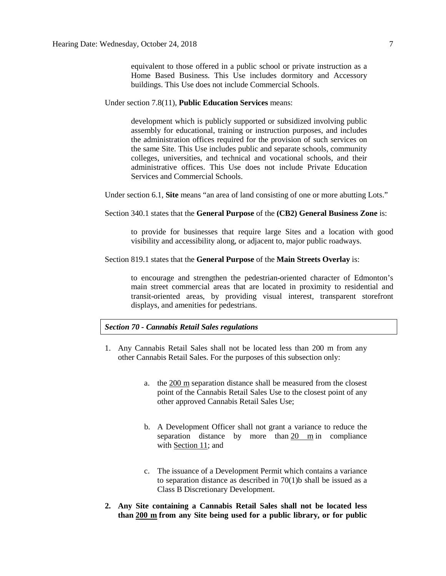equivalent to those offered in a public school or private instruction as a Home Based Business. This Use includes dormitory and Accessory buildings. This Use does not include Commercial Schools.

#### Under section 7.8(11), **Public Education Services** means:

development which is publicly supported or subsidized involving public assembly for educational, training or instruction purposes, and includes the administration offices required for the provision of such services on the same Site. This Use includes public and separate schools, community colleges, universities, and technical and vocational schools, and their administrative offices. This Use does not include Private Education Services and Commercial Schools.

Under section 6.1, **Site** means "an area of land consisting of one or more abutting Lots."

### Section 340.1 states that the **General Purpose** of the **(CB2) General Business Zone** is:

to provide for businesses that require large Sites and a location with good visibility and accessibility along, or adjacent to, major public roadways.

## Section 819.1 states that the **General Purpose** of the **Main Streets Overlay** is:

to encourage and strengthen the pedestrian-oriented character of Edmonton's main street commercial areas that are located in proximity to residential and transit-oriented areas, by providing visual interest, transparent storefront displays, and amenities for pedestrians.

## *Section 70 - Cannabis Retail Sales regulations*

- 1. Any Cannabis Retail Sales shall not be located less than 200 m from any other Cannabis Retail Sales. For the purposes of this subsection only:
	- a. the [200 m](javascript:void(0);) separation distance shall be measured from the closest point of the Cannabis Retail Sales Use to the closest point of any other approved Cannabis Retail Sales Use;
	- b. A Development Officer shall not grant a variance to reduce the separation distance by more than [20 m](javascript:void(0);) in compliance with [Section 11;](https://webdocs.edmonton.ca/InfraPlan/zoningbylaw/ZoningBylaw/Part1/Administrative/11__Authority_and_Responsibility_of_the_Development_Officer.htm) and
	- c. The issuance of a Development Permit which contains a variance to separation distance as described in 70(1)b shall be issued as a Class B Discretionary Development.
- **2. Any Site containing a Cannabis Retail Sales shall not be located less than [200 m](javascript:void(0);) from any Site being used for a public library, or for public**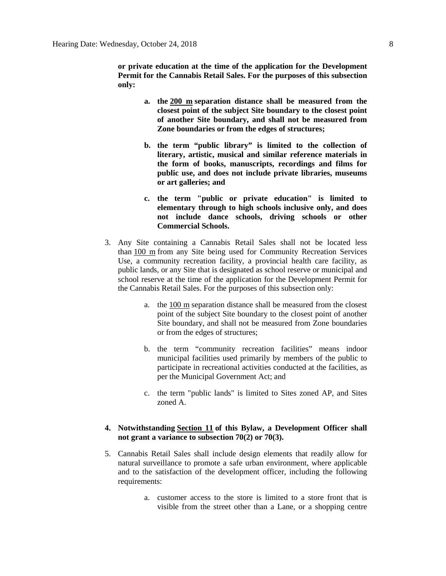**or private education at the time of the application for the Development Permit for the Cannabis Retail Sales. For the purposes of this subsection only:**

- **a. the [200 m](javascript:void(0);) separation distance shall be measured from the closest point of the subject Site boundary to the closest point of another Site boundary, and shall not be measured from Zone boundaries or from the edges of structures;**
- **b. the term "public library" is limited to the collection of literary, artistic, musical and similar reference materials in the form of books, manuscripts, recordings and films for public use, and does not include private libraries, museums or art galleries; and**
- **c. the term "public or private education" is limited to elementary through to high schools inclusive only, and does not include dance schools, driving schools or other Commercial Schools.**
- 3. Any Site containing a Cannabis Retail Sales shall not be located less than [100 m](javascript:void(0);) from any Site being used for Community Recreation Services Use, a community recreation facility, a provincial health care facility, as public lands, or any Site that is designated as school reserve or municipal and school reserve at the time of the application for the Development Permit for the Cannabis Retail Sales. For the purposes of this subsection only:
	- a. the [100 m](javascript:void(0);) separation distance shall be measured from the closest point of the subject Site boundary to the closest point of another Site boundary, and shall not be measured from Zone boundaries or from the edges of structures;
	- b. the term "community recreation facilities" means indoor municipal facilities used primarily by members of the public to participate in recreational activities conducted at the facilities, as per the Municipal Government Act; and
	- c. the term "public lands" is limited to Sites zoned AP, and Sites zoned A.

## **4. Notwithstanding [Section 11](https://webdocs.edmonton.ca/InfraPlan/zoningbylaw/ZoningBylaw/Part1/Administrative/11__Authority_and_Responsibility_of_the_Development_Officer.htm) of this Bylaw, a Development Officer shall not grant a variance to subsection 70(2) or 70(3).**

- 5. Cannabis Retail Sales shall include design elements that readily allow for natural surveillance to promote a safe urban environment, where applicable and to the satisfaction of the development officer, including the following requirements:
	- a. customer access to the store is limited to a store front that is visible from the street other than a Lane, or a shopping centre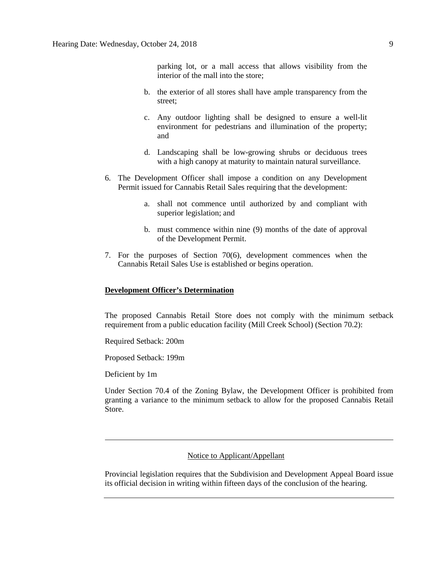parking lot, or a mall access that allows visibility from the interior of the mall into the store;

- b. the exterior of all stores shall have ample transparency from the street;
- c. Any outdoor lighting shall be designed to ensure a well-lit environment for pedestrians and illumination of the property; and
- d. Landscaping shall be low-growing shrubs or deciduous trees with a high canopy at maturity to maintain natural surveillance.
- 6. The Development Officer shall impose a condition on any Development Permit issued for Cannabis Retail Sales requiring that the development:
	- a. shall not commence until authorized by and compliant with superior legislation; and
	- b. must commence within nine (9) months of the date of approval of the Development Permit.
- 7. For the purposes of Section 70(6), development commences when the Cannabis Retail Sales Use is established or begins operation.

## **Development Officer's Determination**

The proposed Cannabis Retail Store does not comply with the minimum setback requirement from a public education facility (Mill Creek School) (Section 70.2):

Required Setback: 200m

Proposed Setback: 199m

Deficient by 1m

Under Section 70.4 of the Zoning Bylaw, the Development Officer is prohibited from granting a variance to the minimum setback to allow for the proposed Cannabis Retail Store.

## Notice to Applicant/Appellant

Provincial legislation requires that the Subdivision and Development Appeal Board issue its official decision in writing within fifteen days of the conclusion of the hearing.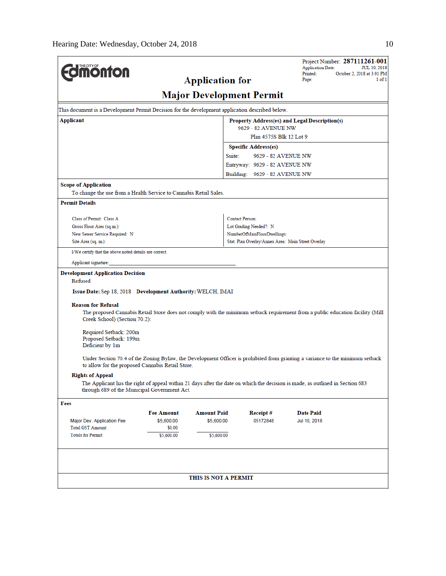| <b>Imonton</b>                                                                                                                                                                  |                   | <b>Application for</b> |                                                    | Project Number: 287111261-001<br><b>Application Date:</b><br>Printed:<br>Page:                                                 | <b>JUL 10, 2018</b><br>October 2, 2018 at 3:01 PM<br>1 of 1 |  |  |  |
|---------------------------------------------------------------------------------------------------------------------------------------------------------------------------------|-------------------|------------------------|----------------------------------------------------|--------------------------------------------------------------------------------------------------------------------------------|-------------------------------------------------------------|--|--|--|
| <b>Major Development Permit</b>                                                                                                                                                 |                   |                        |                                                    |                                                                                                                                |                                                             |  |  |  |
| This document is a Development Permit Decision for the development application described below.                                                                                 |                   |                        |                                                    |                                                                                                                                |                                                             |  |  |  |
| Applicant                                                                                                                                                                       |                   | 9629 - 82 AVENUE NW    | Property Address(es) and Legal Description(s)      |                                                                                                                                |                                                             |  |  |  |
| Plan 4575S Blk 12 Lot 9                                                                                                                                                         |                   |                        |                                                    |                                                                                                                                |                                                             |  |  |  |
|                                                                                                                                                                                 |                   |                        | <b>Specific Address(es)</b>                        |                                                                                                                                |                                                             |  |  |  |
|                                                                                                                                                                                 |                   |                        | Suite:<br>9629 - 82 AVENUE NW                      |                                                                                                                                |                                                             |  |  |  |
|                                                                                                                                                                                 |                   |                        | Entryway: 9629 - 82 AVENUE NW                      |                                                                                                                                |                                                             |  |  |  |
|                                                                                                                                                                                 |                   |                        | Building: 9629 - 82 AVENUE NW                      |                                                                                                                                |                                                             |  |  |  |
| <b>Scope of Application</b>                                                                                                                                                     |                   |                        |                                                    |                                                                                                                                |                                                             |  |  |  |
| To change the use from a Health Service to Cannabis Retail Sales.                                                                                                               |                   |                        |                                                    |                                                                                                                                |                                                             |  |  |  |
| <b>Permit Details</b>                                                                                                                                                           |                   |                        |                                                    |                                                                                                                                |                                                             |  |  |  |
| Class of Permit: Class A                                                                                                                                                        |                   |                        | Contact Person:                                    |                                                                                                                                |                                                             |  |  |  |
| Gross Floor Area (sq.m.):                                                                                                                                                       |                   |                        | Lot Grading Needed?: N                             |                                                                                                                                |                                                             |  |  |  |
| New Sewer Service Required: N                                                                                                                                                   |                   |                        | NumberOfMainFloorDwellings:                        |                                                                                                                                |                                                             |  |  |  |
| Site Area (sq. m.):                                                                                                                                                             |                   |                        | Stat. Plan Overlay/Annex Area: Main Street Overlay |                                                                                                                                |                                                             |  |  |  |
| I/We certify that the above noted details are correct.                                                                                                                          |                   |                        |                                                    |                                                                                                                                |                                                             |  |  |  |
| Applicant signature:                                                                                                                                                            |                   |                        |                                                    |                                                                                                                                |                                                             |  |  |  |
| <b>Development Application Decision</b><br>Refused<br>Issue Date: Sep 18, 2018 Development Authority: WELCH, IMAI<br><b>Reason for Refusal</b><br>Creek School) (Section 70.2): |                   |                        |                                                    | The proposed Cannabis Retail Store does not comply with the minimum setback requirement from a public education facility (Mill |                                                             |  |  |  |
| Required Setback: 200m<br>Proposed Setback: 199m<br>Deficient by 1m                                                                                                             |                   |                        |                                                    |                                                                                                                                |                                                             |  |  |  |
| to allow for the proposed Cannabis Retail Store.                                                                                                                                |                   |                        |                                                    | Under Section 70.4 of the Zoning Bylaw, the Development Officer is prohibited from granting a variance to the minimum setback  |                                                             |  |  |  |
| <b>Rights of Appeal</b>                                                                                                                                                         |                   |                        |                                                    |                                                                                                                                |                                                             |  |  |  |
| through 689 of the Municipal Government Act.                                                                                                                                    |                   |                        |                                                    | The Applicant has the right of appeal within 21 days after the date on which the decision is made, as outlined in Section 683  |                                                             |  |  |  |
| Fees                                                                                                                                                                            |                   |                        |                                                    |                                                                                                                                |                                                             |  |  |  |
|                                                                                                                                                                                 | <b>Fee Amount</b> | <b>Amount Paid</b>     | Receipt#                                           | <b>Date Paid</b>                                                                                                               |                                                             |  |  |  |
| Major Dev. Application Fee                                                                                                                                                      | \$5,600.00        | \$5,600.00             | 05172848                                           | Jul 10, 2018                                                                                                                   |                                                             |  |  |  |
| Total GST Amount:                                                                                                                                                               | \$0.00            |                        |                                                    |                                                                                                                                |                                                             |  |  |  |
| <b>Totals for Permit:</b>                                                                                                                                                       | \$5,600.00        | \$5,600.00             |                                                    |                                                                                                                                |                                                             |  |  |  |
|                                                                                                                                                                                 |                   |                        |                                                    |                                                                                                                                |                                                             |  |  |  |
|                                                                                                                                                                                 |                   | THIS IS NOT A PERMIT   |                                                    |                                                                                                                                |                                                             |  |  |  |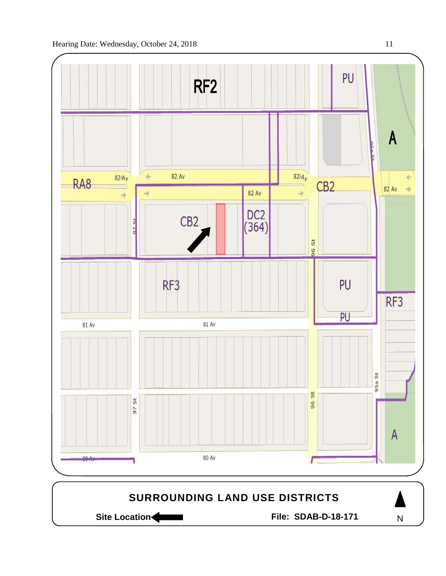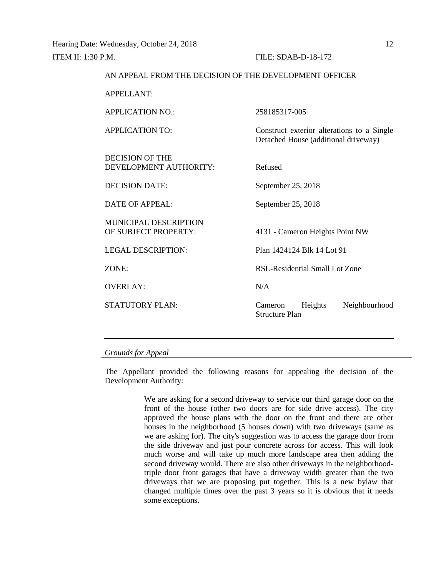| AN ALLEAL FROM THE DECISION OF THE DEVELOI MENT OFFICER |                                                                                    |  |  |  |
|---------------------------------------------------------|------------------------------------------------------------------------------------|--|--|--|
| <b>APPELLANT:</b>                                       |                                                                                    |  |  |  |
| <b>APPLICATION NO.:</b>                                 | 258185317-005                                                                      |  |  |  |
| APPLICATION TO:                                         | Construct exterior alterations to a Single<br>Detached House (additional driveway) |  |  |  |
| DECISION OF THE<br>DEVELOPMENT AUTHORITY:               | Refused                                                                            |  |  |  |
| <b>DECISION DATE:</b>                                   | September 25, 2018                                                                 |  |  |  |
| $\overline{DATE}$ OF APPEAL:                            | September 25, 2018                                                                 |  |  |  |
| <b>MUNICIPAL DESCRIPTION</b><br>OF SUBJECT PROPERTY:    | 4131 - Cameron Heights Point NW                                                    |  |  |  |
| <b>LEGAL DESCRIPTION:</b>                               | Plan 1424124 Blk 14 Lot 91                                                         |  |  |  |
| ZONE:                                                   | RSL-Residential Small Lot Zone                                                     |  |  |  |
| <b>OVERLAY:</b>                                         | N/A                                                                                |  |  |  |
| <b>STATUTORY PLAN:</b>                                  | Neighbourhood<br>Heights<br>Cameron<br>Structure Plan                              |  |  |  |
|                                                         |                                                                                    |  |  |  |

AN APPEAL FROM THE DECISION OF THE DEVELOPMENT OFFICER

## *Grounds for Appeal*

The Appellant provided the following reasons for appealing the decision of the Development Authority:

> We are asking for a second driveway to service our third garage door on the front of the house (other two doors are for side drive access). The city approved the house plans with the door on the front and there are other houses in the neighborhood (5 houses down) with two driveways (same as we are asking for). The city's suggestion was to access the garage door from the side driveway and just pour concrete across for access. This will look much worse and will take up much more landscape area then adding the second driveway would. There are also other driveways in the neighborhoodtriple door front garages that have a driveway width greater than the two driveways that we are proposing put together. This is a new bylaw that changed multiple times over the past 3 years so it is obvious that it needs some exceptions.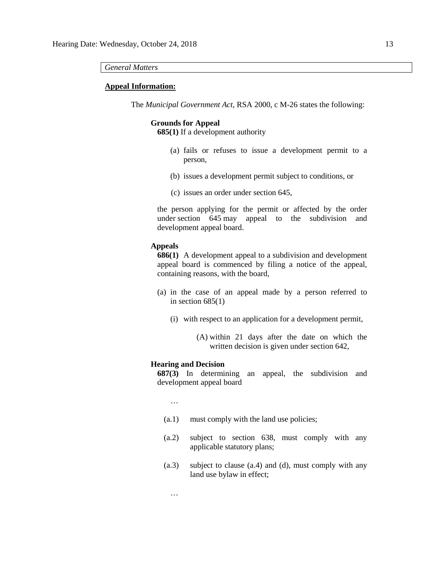#### *General Matters*

#### **Appeal Information:**

The *Municipal Government Act*, RSA 2000, c M-26 states the following:

### **Grounds for Appeal**

**685(1)** If a development authority

- (a) fails or refuses to issue a development permit to a person,
- (b) issues a development permit subject to conditions, or
- (c) issues an order under section 645,

the person applying for the permit or affected by the order under section 645 may appeal to the subdivision and development appeal board.

#### **Appeals**

**686(1)** A development appeal to a subdivision and development appeal board is commenced by filing a notice of the appeal, containing reasons, with the board,

- (a) in the case of an appeal made by a person referred to in section  $685(1)$ 
	- (i) with respect to an application for a development permit,
		- (A) within 21 days after the date on which the written decision is given under section 642,

## **Hearing and Decision**

**687(3)** In determining an appeal, the subdivision and development appeal board

- …
- (a.1) must comply with the land use policies;
- (a.2) subject to section 638, must comply with any applicable statutory plans;
- (a.3) subject to clause (a.4) and (d), must comply with any land use bylaw in effect;

…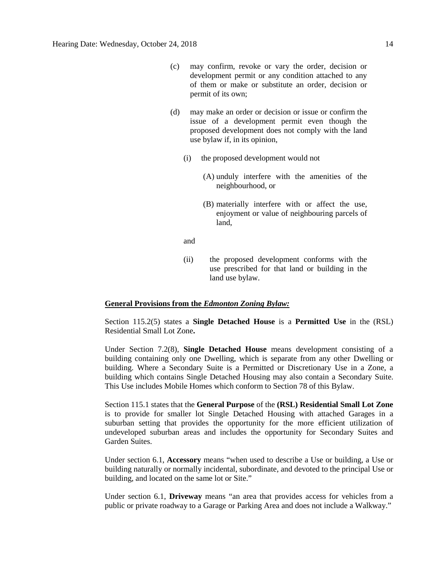- (c) may confirm, revoke or vary the order, decision or development permit or any condition attached to any of them or make or substitute an order, decision or permit of its own;
- (d) may make an order or decision or issue or confirm the issue of a development permit even though the proposed development does not comply with the land use bylaw if, in its opinion,
	- (i) the proposed development would not
		- (A) unduly interfere with the amenities of the neighbourhood, or
		- (B) materially interfere with or affect the use, enjoyment or value of neighbouring parcels of land,
	- and
	- (ii) the proposed development conforms with the use prescribed for that land or building in the land use bylaw.

### **General Provisions from the** *Edmonton Zoning Bylaw:*

Section 115.2(5) states a **Single Detached House** is a **Permitted Use** in the (RSL) Residential Small Lot Zone**.**

Under Section 7.2(8), **Single Detached House** means development consisting of a building containing only one Dwelling, which is separate from any other Dwelling or building. Where a Secondary Suite is a Permitted or Discretionary Use in a Zone, a building which contains Single Detached Housing may also contain a Secondary Suite. This Use includes Mobile Homes which conform to Section 78 of this Bylaw.

Section 115.1 states that the **General Purpose** of the **(RSL) Residential Small Lot Zone**  is to provide for smaller lot Single Detached Housing with attached Garages in a suburban setting that provides the opportunity for the more efficient utilization of undeveloped suburban areas and includes the opportunity for Secondary Suites and Garden Suites.

Under section 6.1, **Accessory** means "when used to describe a Use or building, a Use or building naturally or normally incidental, subordinate, and devoted to the principal Use or building, and located on the same lot or Site."

Under section 6.1, **Driveway** means "an area that provides access for vehicles from a public or private roadway to a Garage or Parking Area and does not include a Walkway."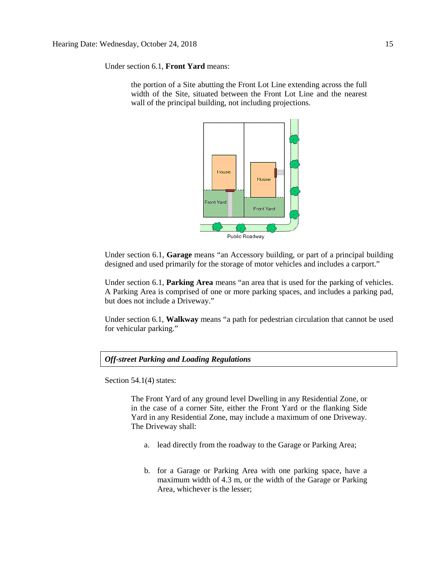Under section 6.1, **Front Yard** means:

the portion of a Site abutting the Front Lot Line extending across the full width of the Site, situated between the Front Lot Line and the nearest wall of the principal building, not including projections.



Under section 6.1, **Garage** means "an Accessory building, or part of a principal building designed and used primarily for the storage of motor vehicles and includes a carport."

Under section 6.1, **Parking Area** means "an area that is used for the parking of vehicles. A Parking Area is comprised of one or more parking spaces, and includes a parking pad, but does not include a Driveway."

Under section 6.1, **Walkway** means "a path for pedestrian circulation that cannot be used for vehicular parking."

*Off-street Parking and Loading Regulations*

Section 54.1(4) states:

The Front Yard of any ground level Dwelling in any Residential Zone, or in the case of a corner Site, either the Front Yard or the flanking Side Yard in any Residential Zone, may include a maximum of one Driveway. The Driveway shall:

- a. lead directly from the roadway to the Garage or Parking Area;
- b. for a Garage or Parking Area with one parking space, have a maximum width of [4.3 m,](javascript:void(0);) or the width of the Garage or Parking Area, whichever is the lesser;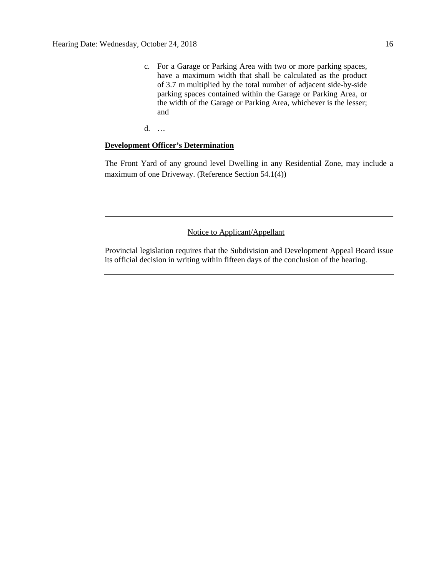c. For a Garage or Parking Area with two or more parking spaces, have a maximum width that shall be calculated as the product of [3.7 m](javascript:void(0);) multiplied by the total number of adjacent side-by-side parking spaces contained within the Garage or Parking Area, or the width of the Garage or Parking Area, whichever is the lesser; and

d. …

## **Development Officer's Determination**

The Front Yard of any ground level Dwelling in any Residential Zone, may include a maximum of one Driveway. (Reference Section 54.1(4))

## Notice to Applicant/Appellant

Provincial legislation requires that the Subdivision and Development Appeal Board issue its official decision in writing within fifteen days of the conclusion of the hearing.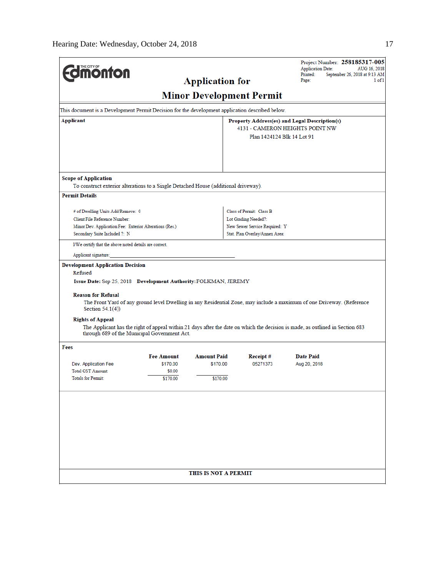| <b><i><u><u><b>MONTON</b></u></u></i></b>                                                       |                                                              |                      |                                 | Project Number: 258185317-005<br><b>Application Date:</b><br>AUG 16, 2018                                                     |  |  |
|-------------------------------------------------------------------------------------------------|--------------------------------------------------------------|----------------------|---------------------------------|-------------------------------------------------------------------------------------------------------------------------------|--|--|
|                                                                                                 | Printed:<br>September 26, 2018 at 9:13 AM<br>Page:<br>1 of 1 |                      |                                 |                                                                                                                               |  |  |
|                                                                                                 |                                                              |                      | <b>Minor Development Permit</b> |                                                                                                                               |  |  |
| This document is a Development Permit Decision for the development application described below. |                                                              |                      |                                 |                                                                                                                               |  |  |
| Applicant                                                                                       |                                                              |                      |                                 | Property Address(es) and Legal Description(s)<br>4131 - CAMERON HEIGHTS POINT NW                                              |  |  |
|                                                                                                 |                                                              |                      | Plan 1424124 Blk 14 Lot 91      |                                                                                                                               |  |  |
|                                                                                                 |                                                              |                      |                                 |                                                                                                                               |  |  |
|                                                                                                 |                                                              |                      |                                 |                                                                                                                               |  |  |
|                                                                                                 |                                                              |                      |                                 |                                                                                                                               |  |  |
| <b>Scope of Application</b>                                                                     |                                                              |                      |                                 |                                                                                                                               |  |  |
| To construct exterior alterations to a Single Detached House (additional driveway).             |                                                              |                      |                                 |                                                                                                                               |  |  |
| <b>Permit Details</b>                                                                           |                                                              |                      |                                 |                                                                                                                               |  |  |
| # of Dwelling Units Add/Remove: 0                                                               |                                                              |                      | Class of Permit: Class B        |                                                                                                                               |  |  |
| Client File Reference Number:                                                                   |                                                              |                      | Lot Grading Needed?:            |                                                                                                                               |  |  |
| Minor Dev. Application Fee: Exterior Alterations (Res.)                                         |                                                              |                      | New Sewer Service Required: Y   |                                                                                                                               |  |  |
| Secondary Suite Included ?: N                                                                   |                                                              |                      | Stat. Plan Overlay/Annex Area:  |                                                                                                                               |  |  |
| I/We certify that the above noted details are correct.                                          |                                                              |                      |                                 |                                                                                                                               |  |  |
| Applicant signature:                                                                            |                                                              |                      |                                 |                                                                                                                               |  |  |
| <b>Development Application Decision</b><br>Refused                                              |                                                              |                      |                                 |                                                                                                                               |  |  |
| Issue Date: Sep 25, 2018 Development Authority: FOLKMAN, JEREMY                                 |                                                              |                      |                                 |                                                                                                                               |  |  |
|                                                                                                 |                                                              |                      |                                 |                                                                                                                               |  |  |
| <b>Reason for Refusal</b><br>Section $54.1(4)$ )                                                |                                                              |                      |                                 | The Front Yard of any ground level Dwelling in any Residential Zone, may include a maximum of one Driveway. (Reference        |  |  |
| <b>Rights of Appeal</b>                                                                         |                                                              |                      |                                 |                                                                                                                               |  |  |
| through 689 of the Municipal Government Act.                                                    |                                                              |                      |                                 | The Applicant has the right of appeal within 21 days after the date on which the decision is made, as outlined in Section 683 |  |  |
| Fees                                                                                            |                                                              |                      |                                 |                                                                                                                               |  |  |
|                                                                                                 | <b>Fee Amount</b>                                            | <b>Amount Paid</b>   | Receipt#                        | <b>Date Paid</b>                                                                                                              |  |  |
| Dev. Application Fee                                                                            | \$170.00                                                     | \$170.00             | 05271373                        | Aug 20, 2018                                                                                                                  |  |  |
| <b>Total GST Amount:</b><br><b>Totals for Permit:</b>                                           | \$0.00<br>\$170.00                                           | \$170.00             |                                 |                                                                                                                               |  |  |
|                                                                                                 |                                                              |                      |                                 |                                                                                                                               |  |  |
|                                                                                                 |                                                              |                      |                                 |                                                                                                                               |  |  |
|                                                                                                 |                                                              |                      |                                 |                                                                                                                               |  |  |
|                                                                                                 |                                                              |                      |                                 |                                                                                                                               |  |  |
|                                                                                                 |                                                              |                      |                                 |                                                                                                                               |  |  |
|                                                                                                 |                                                              |                      |                                 |                                                                                                                               |  |  |
|                                                                                                 |                                                              |                      |                                 |                                                                                                                               |  |  |
|                                                                                                 |                                                              |                      |                                 |                                                                                                                               |  |  |
|                                                                                                 |                                                              | THIS IS NOT A PERMIT |                                 |                                                                                                                               |  |  |
|                                                                                                 |                                                              |                      |                                 |                                                                                                                               |  |  |